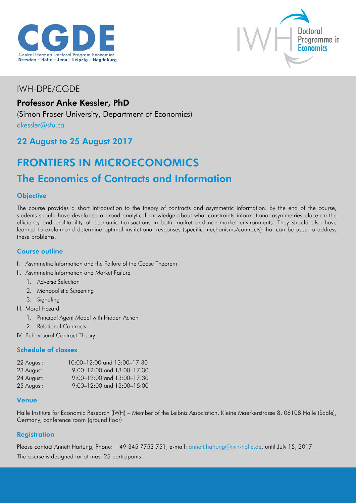



## IWH-DPE/CGDE

## Professor Anke Kessler, PhD

(Simon Fraser University, Department of Economics)

[akessler@sfu.ca](mailto:akessler@sfu.ca)

### 22 August to 25 August 2017

# FRONTIERS IN MICROECONOMICS

## The Economics of Contracts and Information

#### **Objective**

The course provides a short introduction to the theory of contracts and asymmetric information. By the end of the course, students should have developed a broad analytical knowledge about what constraints informational asymmetries place on the efficiency and profitability of economic transactions in both market and non-market environments. They should also have learned to explain and determine optimal institutional responses (specific mechanisms/contracts) that can be used to address these problems.

#### Course outline

- I. Asymmetric Information and the Failure of the Coase Theorem
- II. Asymmetric Information and Market Failure
	- 1. Adverse Selection
	- 2. Monopolistic Screening
	- 3. Signaling
- III. Moral Hazard
	- 1. Principal Agent Model with Hidden Action
	- 2. Relational Contracts
- IV. Behavioural Contract Theory

#### Schedule of classes

| 22 August: | 10:00-12:00 and 13:00-17:30        |
|------------|------------------------------------|
| 23 August: | $9:00 - 12:00$ and $13:00 - 17:30$ |
| 24 August: | 9:00-12:00 and 13:00-17:30         |
| 25 August: | $9:00 - 12:00$ and $13:00 - 15:00$ |

#### Venue

Halle Institute for Economic Research (IWH) – Member of the Leibniz Association, Kleine Maerkerstrasse 8, 06108 Halle (Saale), Germany, conference room (ground floor)

#### **Registration**

Please contact Annett Hartung, Phone: +49 345 7753 751, e-mail: [annett.hartung@iwh-halle.de,](mailto:annett.hartung@iwh-halle.de) until July 15, 2017.

The course is designed for at most 25 participants.